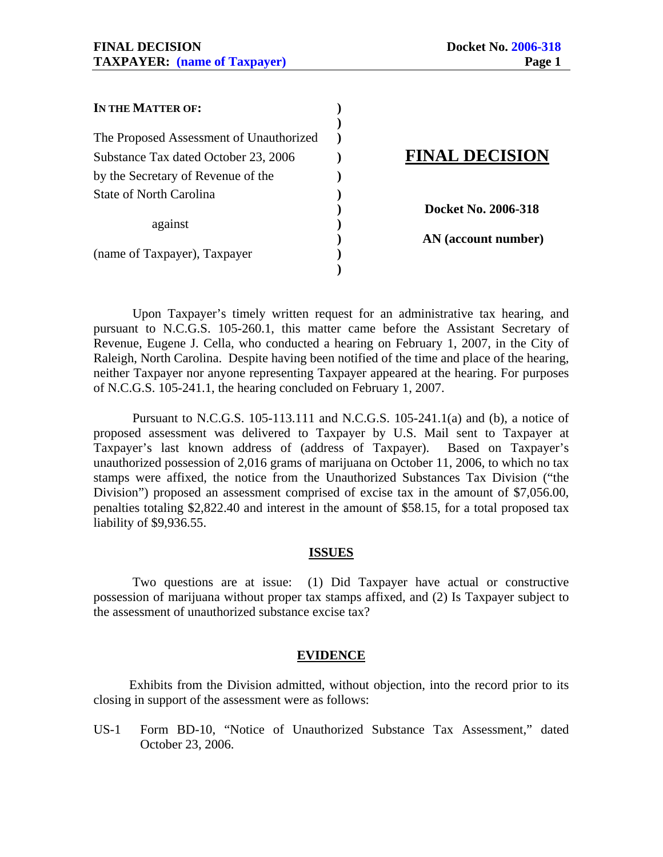| IN THE MATTER OF:                       |                       |
|-----------------------------------------|-----------------------|
|                                         |                       |
| The Proposed Assessment of Unauthorized |                       |
| Substance Tax dated October 23, 2006    | <b>FINAL DECISION</b> |
| by the Secretary of Revenue of the      |                       |
| State of North Carolina                 |                       |
|                                         | Docket No. 2006-318   |
| against                                 |                       |
|                                         | AN (account number)   |
| (name of Taxpayer), Taxpayer            |                       |
|                                         |                       |

 Upon Taxpayer's timely written request for an administrative tax hearing, and pursuant to N.C.G.S. 105-260.1, this matter came before the Assistant Secretary of Revenue, Eugene J. Cella, who conducted a hearing on February 1, 2007, in the City of Raleigh, North Carolina. Despite having been notified of the time and place of the hearing, neither Taxpayer nor anyone representing Taxpayer appeared at the hearing. For purposes of N.C.G.S. 105-241.1, the hearing concluded on February 1, 2007.

 Pursuant to N.C.G.S. 105-113.111 and N.C.G.S. 105-241.1(a) and (b), a notice of proposed assessment was delivered to Taxpayer by U.S. Mail sent to Taxpayer at Taxpayer's last known address of (address of Taxpayer). Based on Taxpayer's unauthorized possession of 2,016 grams of marijuana on October 11, 2006, to which no tax stamps were affixed, the notice from the Unauthorized Substances Tax Division ("the Division") proposed an assessment comprised of excise tax in the amount of \$7,056.00, penalties totaling \$2,822.40 and interest in the amount of \$58.15, for a total proposed tax liability of \$9,936.55.

#### **ISSUES**

 Two questions are at issue: (1) Did Taxpayer have actual or constructive possession of marijuana without proper tax stamps affixed, and (2) Is Taxpayer subject to the assessment of unauthorized substance excise tax?

#### **EVIDENCE**

 Exhibits from the Division admitted, without objection, into the record prior to its closing in support of the assessment were as follows:

US-1 Form BD-10, "Notice of Unauthorized Substance Tax Assessment," dated October 23, 2006.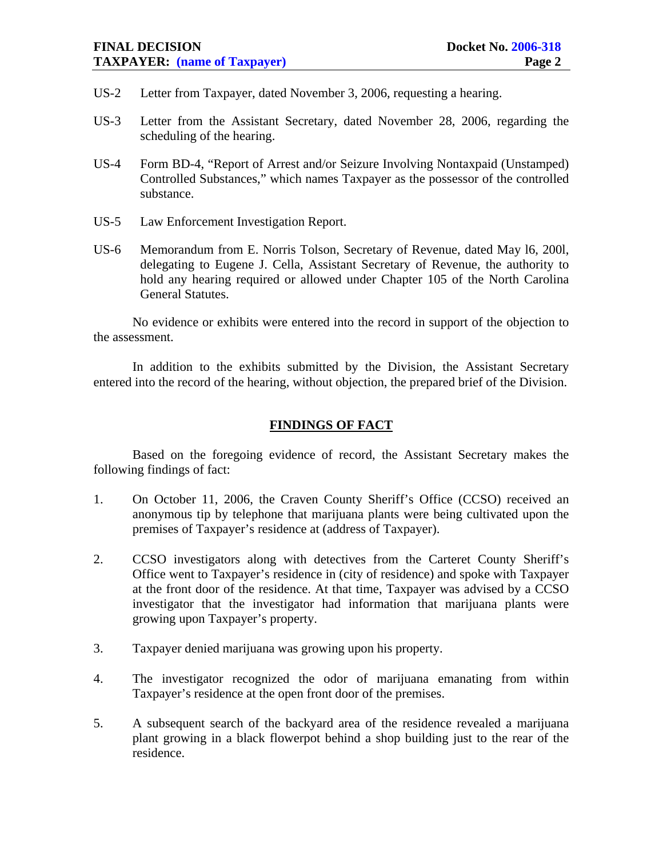### **FINAL DECISION** Docket No. 2006-318 **TAXPAYER: (name of Taxpayer) Page 2**

- US-2 Letter from Taxpayer, dated November 3, 2006, requesting a hearing.
- US-3 Letter from the Assistant Secretary, dated November 28, 2006, regarding the scheduling of the hearing.
- US-4 Form BD-4, "Report of Arrest and/or Seizure Involving Nontaxpaid (Unstamped) Controlled Substances," which names Taxpayer as the possessor of the controlled substance.
- US-5 Law Enforcement Investigation Report.
- US-6 Memorandum from E. Norris Tolson, Secretary of Revenue, dated May l6, 200l, delegating to Eugene J. Cella, Assistant Secretary of Revenue, the authority to hold any hearing required or allowed under Chapter 105 of the North Carolina General Statutes.

No evidence or exhibits were entered into the record in support of the objection to the assessment.

 In addition to the exhibits submitted by the Division, the Assistant Secretary entered into the record of the hearing, without objection, the prepared brief of the Division.

# **FINDINGS OF FACT**

Based on the foregoing evidence of record, the Assistant Secretary makes the following findings of fact:

- 1. On October 11, 2006, the Craven County Sheriff's Office (CCSO) received an anonymous tip by telephone that marijuana plants were being cultivated upon the premises of Taxpayer's residence at (address of Taxpayer).
- 2. CCSO investigators along with detectives from the Carteret County Sheriff's Office went to Taxpayer's residence in (city of residence) and spoke with Taxpayer at the front door of the residence. At that time, Taxpayer was advised by a CCSO investigator that the investigator had information that marijuana plants were growing upon Taxpayer's property.
- 3. Taxpayer denied marijuana was growing upon his property.
- 4. The investigator recognized the odor of marijuana emanating from within Taxpayer's residence at the open front door of the premises.
- 5. A subsequent search of the backyard area of the residence revealed a marijuana plant growing in a black flowerpot behind a shop building just to the rear of the residence.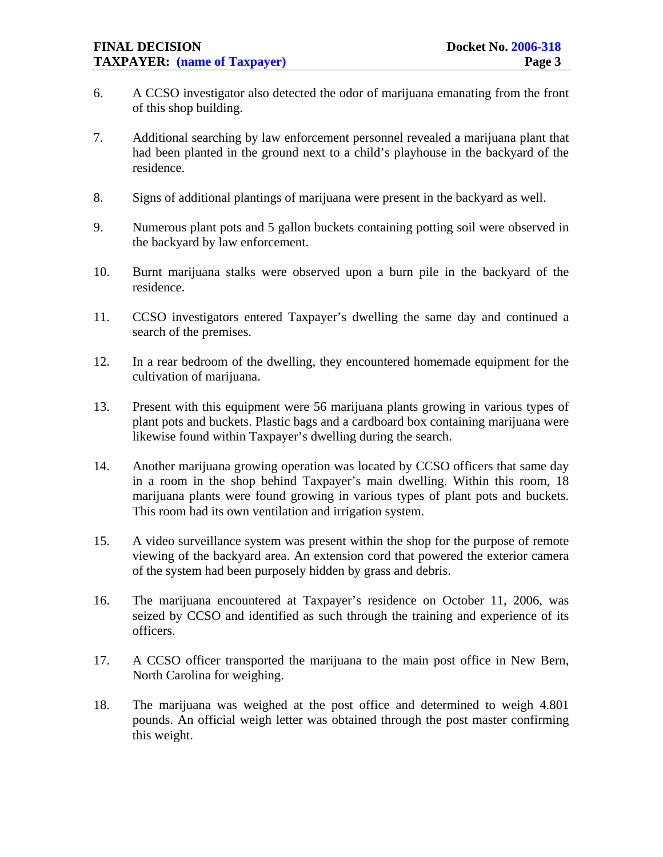- 6. A CCSO investigator also detected the odor of marijuana emanating from the front of this shop building.
- 7. Additional searching by law enforcement personnel revealed a marijuana plant that had been planted in the ground next to a child's playhouse in the backyard of the residence.
- 8. Signs of additional plantings of marijuana were present in the backyard as well.
- 9. Numerous plant pots and 5 gallon buckets containing potting soil were observed in the backyard by law enforcement.
- 10. Burnt marijuana stalks were observed upon a burn pile in the backyard of the residence.
- 11. CCSO investigators entered Taxpayer's dwelling the same day and continued a search of the premises.
- 12. In a rear bedroom of the dwelling, they encountered homemade equipment for the cultivation of marijuana.
- 13. Present with this equipment were 56 marijuana plants growing in various types of plant pots and buckets. Plastic bags and a cardboard box containing marijuana were likewise found within Taxpayer's dwelling during the search.
- 14. Another marijuana growing operation was located by CCSO officers that same day in a room in the shop behind Taxpayer's main dwelling. Within this room, 18 marijuana plants were found growing in various types of plant pots and buckets. This room had its own ventilation and irrigation system.
- 15. A video surveillance system was present within the shop for the purpose of remote viewing of the backyard area. An extension cord that powered the exterior camera of the system had been purposely hidden by grass and debris.
- 16. The marijuana encountered at Taxpayer's residence on October 11, 2006, was seized by CCSO and identified as such through the training and experience of its officers.
- 17. A CCSO officer transported the marijuana to the main post office in New Bern, North Carolina for weighing.
- 18. The marijuana was weighed at the post office and determined to weigh 4.801 pounds. An official weigh letter was obtained through the post master confirming this weight.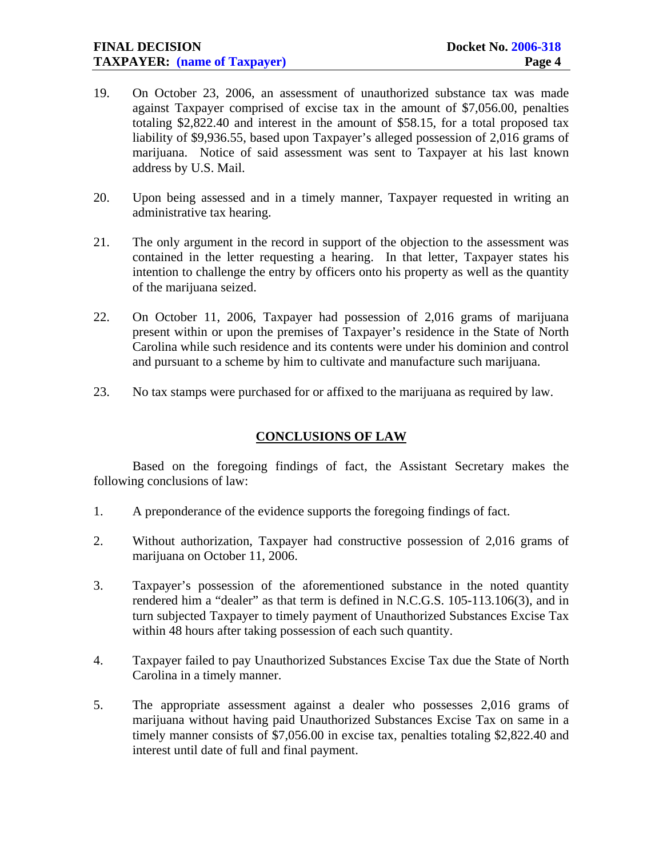- 19. On October 23, 2006, an assessment of unauthorized substance tax was made against Taxpayer comprised of excise tax in the amount of \$7,056.00, penalties totaling \$2,822.40 and interest in the amount of \$58.15, for a total proposed tax liability of \$9,936.55, based upon Taxpayer's alleged possession of 2,016 grams of marijuana. Notice of said assessment was sent to Taxpayer at his last known address by U.S. Mail.
- 20. Upon being assessed and in a timely manner, Taxpayer requested in writing an administrative tax hearing.
- 21. The only argument in the record in support of the objection to the assessment was contained in the letter requesting a hearing. In that letter, Taxpayer states his intention to challenge the entry by officers onto his property as well as the quantity of the marijuana seized.
- 22. On October 11, 2006, Taxpayer had possession of 2,016 grams of marijuana present within or upon the premises of Taxpayer's residence in the State of North Carolina while such residence and its contents were under his dominion and control and pursuant to a scheme by him to cultivate and manufacture such marijuana.
- 23. No tax stamps were purchased for or affixed to the marijuana as required by law.

## **CONCLUSIONS OF LAW**

 Based on the foregoing findings of fact, the Assistant Secretary makes the following conclusions of law:

- 1. A preponderance of the evidence supports the foregoing findings of fact.
- 2. Without authorization, Taxpayer had constructive possession of 2,016 grams of marijuana on October 11, 2006.
- 3. Taxpayer's possession of the aforementioned substance in the noted quantity rendered him a "dealer" as that term is defined in N.C.G.S. 105-113.106(3), and in turn subjected Taxpayer to timely payment of Unauthorized Substances Excise Tax within 48 hours after taking possession of each such quantity.
- 4. Taxpayer failed to pay Unauthorized Substances Excise Tax due the State of North Carolina in a timely manner.
- 5. The appropriate assessment against a dealer who possesses 2,016 grams of marijuana without having paid Unauthorized Substances Excise Tax on same in a timely manner consists of \$7,056.00 in excise tax, penalties totaling \$2,822.40 and interest until date of full and final payment.